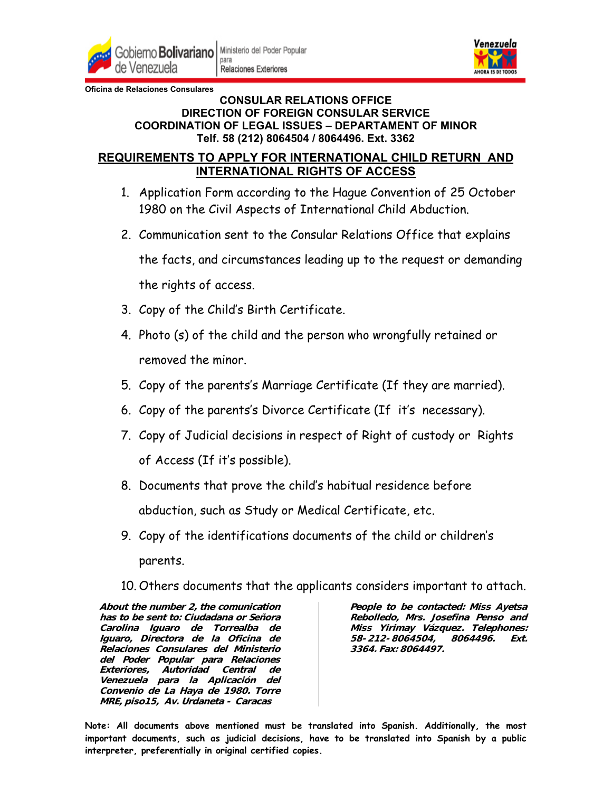

para **Relaciones Exteriores** 



**Oficina de Relaciones Consulares**

## **CONSULAR RELATIONS OFFICE DIRECTION OF FOREIGN CONSULAR SERVICE COORDINATION OF LEGAL ISSUES – DEPARTAMENT OF MINOR Telf. 58 (212) 8064504 / 8064496. Ext. 3362**

## **REQUIREMENTS TO APPLY FOR INTERNATIONAL CHILD RETURN AND INTERNATIONAL RIGHTS OF ACCESS**

- 1. Application Form according to the Hague Convention of 25 October 1980 on the Civil Aspects of International Child Abduction.
- 2. Communication sent to the Consular Relations Office that explains

the facts, and circumstances leading up to the request or demanding the rights of access.

- 3. Copy of the Child's Birth Certificate.
- 4. Photo (s) of the child and the person who wrongfully retained or removed the minor.
- 5. Copy of the parents's Marriage Certificate (If they are married).
- 6. Copy of the parents's Divorce Certificate (If it's necessary).
- 7. Copy of Judicial decisions in respect of Right of custody or Rights of Access (If it's possible).
- 8. Documents that prove the child's habitual residence before abduction, such as Study or Medical Certificate, etc.
- 9. Copy of the identifications documents of the child or children's parents.
- 10. Others documents that the applicants considers important to attach.

**About the number 2, the comunication has to be sent to: Ciudadana or Señora Carolina Iguaro de Torrealba de Iguaro, Directora de la Oficina de Relaciones Consulares del Ministerio del Poder Popular para Relaciones Exteriores, Autoridad Central de Venezuela para la Aplicación del Convenio de La Haya de 1980. Torre MRE, piso15, Av. Urdaneta - Caracas**

**People to be contacted: Miss Ayetsa Rebolledo, Mrs. Josefina Penso and Miss Yirimay Vázquez. Telephones: 58-212-8064504, 8064496. Ext. 3364. Fax: 8064497.** 

**Note: All documents above mentioned must be translated into Spanish. Additionally, the most important documents, such as judicial decisions, have to be translated into Spanish by a public interpreter, preferentially in original certified copies.**